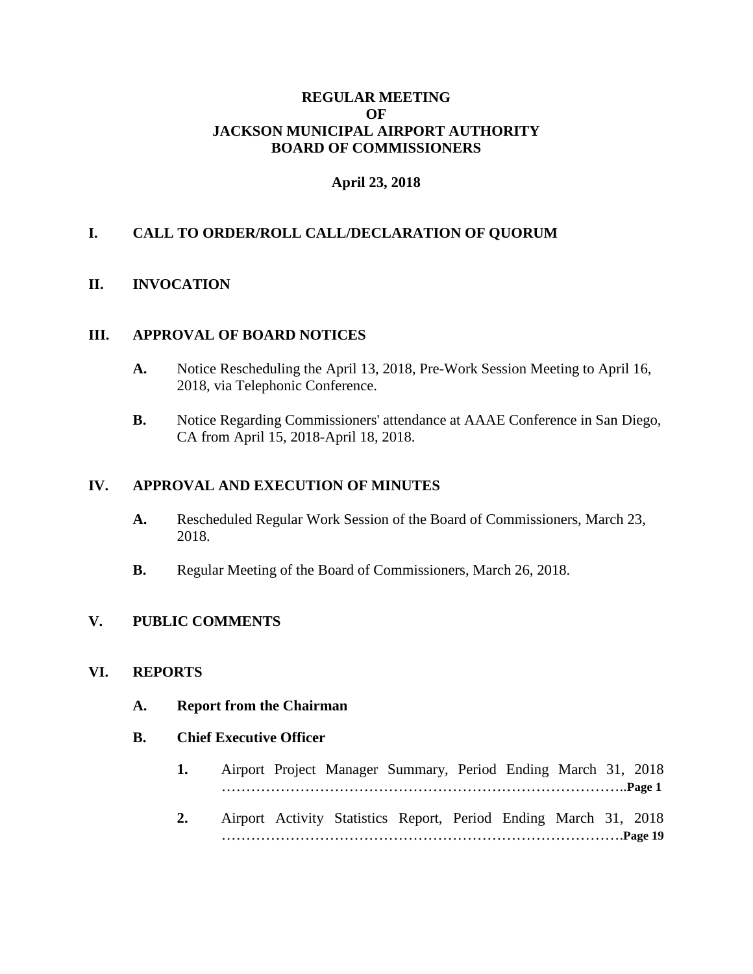### **REGULAR MEETING OF JACKSON MUNICIPAL AIRPORT AUTHORITY BOARD OF COMMISSIONERS**

## **April 23, 2018**

### **I. CALL TO ORDER/ROLL CALL/DECLARATION OF QUORUM**

### **II. INVOCATION**

#### **III. APPROVAL OF BOARD NOTICES**

- **A.** Notice Rescheduling the April 13, 2018, Pre-Work Session Meeting to April 16, 2018, via Telephonic Conference.
- **B.** Notice Regarding Commissioners' attendance at AAAE Conference in San Diego, CA from April 15, 2018-April 18, 2018.

#### **IV. APPROVAL AND EXECUTION OF MINUTES**

- **A.** Rescheduled Regular Work Session of the Board of Commissioners, March 23, 2018.
- **B.** Regular Meeting of the Board of Commissioners, March 26, 2018.

#### **V. PUBLIC COMMENTS**

#### **VI. REPORTS**

**A. Report from the Chairman**

#### **B. Chief Executive Officer**

- **1.** Airport Project Manager Summary, Period Ending March 31, 2018 ………………………………………………………………………..**Page 1**
- **2.** Airport Activity Statistics Report, Period Ending March 31, 2018 ……………………………………………………………………….**Page 19**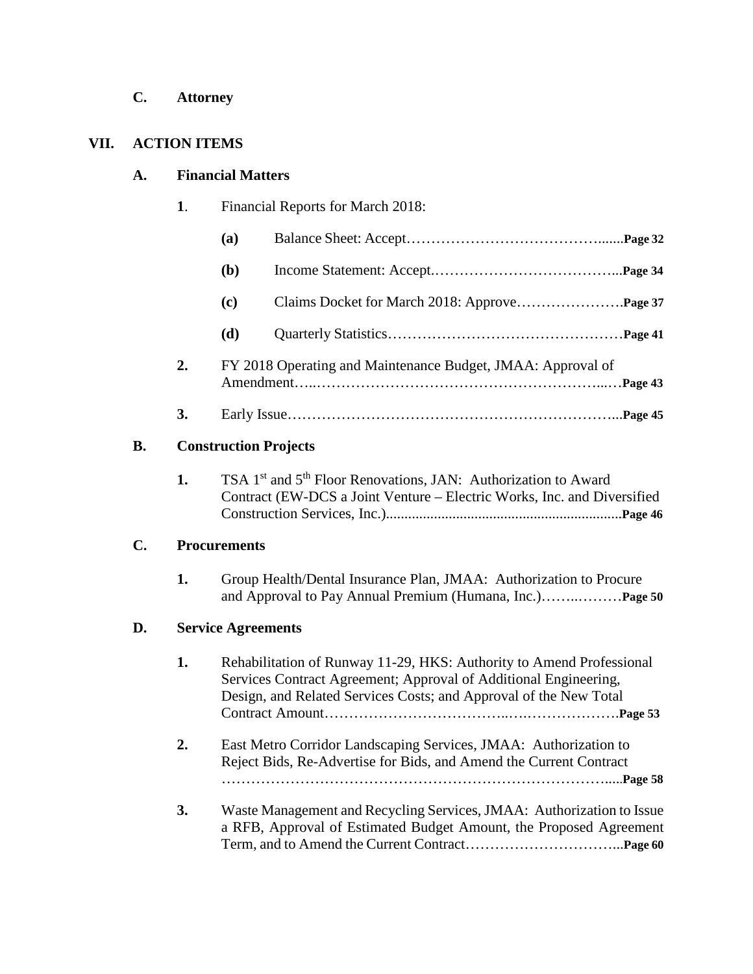**C. Attorney**

# **VII. ACTION ITEMS**

# **A. Financial Matters**

|                | 1. | Financial Reports for March 2018:                                                                                                                                                                 |                                                                                                                                                                                                               |  |
|----------------|----|---------------------------------------------------------------------------------------------------------------------------------------------------------------------------------------------------|---------------------------------------------------------------------------------------------------------------------------------------------------------------------------------------------------------------|--|
|                |    | (a)                                                                                                                                                                                               |                                                                                                                                                                                                               |  |
|                |    | ( <b>b</b> )                                                                                                                                                                                      |                                                                                                                                                                                                               |  |
|                |    | (c)                                                                                                                                                                                               |                                                                                                                                                                                                               |  |
|                |    | (d)                                                                                                                                                                                               |                                                                                                                                                                                                               |  |
|                | 2. | FY 2018 Operating and Maintenance Budget, JMAA: Approval of                                                                                                                                       |                                                                                                                                                                                                               |  |
|                | 3. |                                                                                                                                                                                                   |                                                                                                                                                                                                               |  |
| <b>B.</b>      |    | <b>Construction Projects</b><br>TSA 1 <sup>st</sup> and 5 <sup>th</sup> Floor Renovations, JAN: Authorization to Award<br>Contract (EW-DCS a Joint Venture – Electric Works, Inc. and Diversified |                                                                                                                                                                                                               |  |
|                | 1. |                                                                                                                                                                                                   |                                                                                                                                                                                                               |  |
| $\mathbf{C}$ . |    | <b>Procurements</b>                                                                                                                                                                               |                                                                                                                                                                                                               |  |
|                | 1. |                                                                                                                                                                                                   | Group Health/Dental Insurance Plan, JMAA: Authorization to Procure                                                                                                                                            |  |
| D.             |    | <b>Service Agreements</b>                                                                                                                                                                         |                                                                                                                                                                                                               |  |
|                | 1. |                                                                                                                                                                                                   | Rehabilitation of Runway 11-29, HKS: Authority to Amend Professional<br>Services Contract Agreement; Approval of Additional Engineering,<br>Design, and Related Services Costs; and Approval of the New Total |  |
|                | 2. |                                                                                                                                                                                                   | East Metro Corridor Landscaping Services, JMAA: Authorization to<br>Reject Bids, Re-Advertise for Bids, and Amend the Current Contract                                                                        |  |
|                | 3. |                                                                                                                                                                                                   | Waste Management and Recycling Services, JMAA: Authorization to Issue<br>a RFB, Approval of Estimated Budget Amount, the Proposed Agreement                                                                   |  |